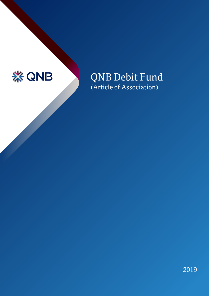

QNB Debit Fund (Article of Association)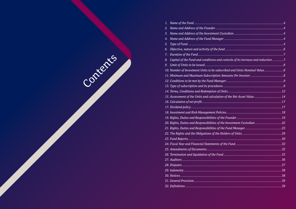| l.  |                                                                                    |  |
|-----|------------------------------------------------------------------------------------|--|
| 2.  |                                                                                    |  |
| 3.  |                                                                                    |  |
| 1.  |                                                                                    |  |
| 5.  |                                                                                    |  |
| ິວ. |                                                                                    |  |
| 7.  |                                                                                    |  |
| 3.  | Capital of the Fund and conditions and controls of its increase and reduction 7    |  |
|     |                                                                                    |  |
|     |                                                                                    |  |
|     |                                                                                    |  |
|     |                                                                                    |  |
|     |                                                                                    |  |
|     |                                                                                    |  |
|     |                                                                                    |  |
|     |                                                                                    |  |
|     |                                                                                    |  |
|     |                                                                                    |  |
|     |                                                                                    |  |
|     |                                                                                    |  |
|     | 21. Rights, Duties and Responsibilities of the Fund Manager………………………………………………………25 |  |
|     |                                                                                    |  |
|     |                                                                                    |  |
|     |                                                                                    |  |
|     |                                                                                    |  |
|     |                                                                                    |  |
|     |                                                                                    |  |
|     |                                                                                    |  |
|     |                                                                                    |  |
|     |                                                                                    |  |
|     |                                                                                    |  |
|     |                                                                                    |  |
|     |                                                                                    |  |

Contents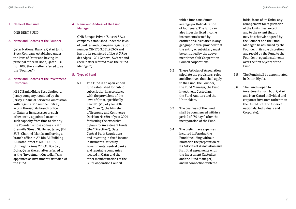### 1. Name of the Fund

#### QNB DEBT FUND

#### 2. Name and Address of the Founder

 Qatar National Bank, a Qatari Joint Stock Company established under the laws of Qatar and having its principal office in Doha, Qatar, P.O. Box 1000 (hereinafter referred to as the "Founder").

### 3. Name and Address of the Investment Custodian

 HSBC Bank Middle East Limited, a Jersey company regulated by the Jersey Financial Services Commission with registration number 85600, acting through its branch office in Qatar or its successor or such other entity appointed to act in such capacity from time to time by the Founder, whose address is at 1 Grenville Street, St. Helier, Jersey JE4 8UB, Channel Islands and having a branch office in Ali Bin Ali Building Al Matar Street #950 BLDG 150 , Ummoglina Area 27 P.O. Box 57 , Doha, Qatar (hereinafter referred to as the "Investment Custodian"), is appointed as Investment Custodian of the Fund.

# 4. Name and Address of the Fund Manager

 QNB Banque Privee (Suisse) SA, a company established under the laws of Switzerland (Company registration number CH-170.3.031.263-3) and having its registered office at 3 Rue des Alpes, 1201 Geneva, Switzerland (hereinafter referred to as the "Fund Manager").

- 5. Type of Fund
	- 5.1 The Fund is an open-ended fund established for public subscription in accordance with the provisions of the laws of Qatar, specifically Law No. (25) of year 2002 (the "Law"), the Minister of Economy and Commerce Decision No (69) of year 2004 for issuing the executive bylaws for investment funds (the "Directive"), Qatar Central Bank Regulations and investing in fixed income instruments issued by governments, central banks and reputable companies located in Qatar and the other member nations of the Gulf Cooperation Council

with a fund's maximum average portfolio duration of four years. The fund can also invest in fixed income instruments issued by entities or subsidiaries in any geographic area, provided that the entity or subsidiary must be controlled by the above mentioned Gulf Cooperation Council corporations.

- 5.2 These Articles of Association stipulate the provisions, rules and directives that shall apply to the Fund, the Founder, the Fund Manager, the Fund Investment Custodian, the Fund Auditors and the Unitholders.
- 5.3 The business of the Fund shall be commenced within a period of [60 days] after the incorporation of the Fund.
- 5.4 The preliminary expenses incurred in forming the Fund (including without limitation the preparation of its Articles of Association and its initial agreements with the Investment Custodian and the Fund Manager) and in connection with the

initial issue of its Units, any arrangement for registration of the Units may, except and to the extent that it may be otherwise agreed by the Founder and the Fund Manager, be advanced by the Founder in its sole discretion and repaid by the Fund to the Founder in equal instalments over the first 5 years of the Fund.

- 5.5 The Fund shall be denominated in Qatari Riyals.
- 5.6 The Fund is open to investments from both Qatari and Non-Qatari individual and corporate investors (other than the United State of America nationals, Individuals and Corporate).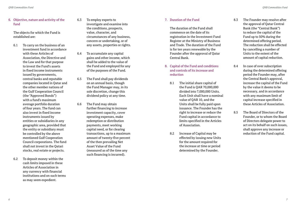6. Objective, nature and activity of the fund

 The objects for which the Fund is established are:

- 6.1 To carry on the business of an investment fund in accordance with these Articles of Association, the Directive and the Law and for that purpose to invest the Fund's assets in fixed income instruments issued by governments, central banks and reputable companies located in Qatar and the other member nations of the Gulf Cooperation Council (the "Approved Bonds") with a fund's maximum average portfolio duration of four years. The fund can also invest in fixed income instruments issued by entities or subsidiaries in any geographic area, provided that the entity or subsidiary must be controlled by the above mentioned Gulf Cooperation Council corporations. The fund shall not invest in the Qatari stocks, real estate or projects.
- 6.2 To deposit money within the cash limits imposed in these Articles of Association in any currency with financial institutions and on such terms as may seem expedient.
- 6.3 To employ experts to investigate and examine into the conditions, prospects, value, character, and circumstances of any business, concern or undertaking, or of any assets, properties or rights.
- 6.4 To accumulate any capital gains and other income, which shall be added to the value of the Fund and employed for any of the purposes of the Fund.
- 6.5 The Fund shall pay dividends on an annual basis, though the Fund Manager may, in its sole discretion, change this dividend policy at any time.
- 6.6 The Fund may obtain further financing to increase investment capacity, cover operating expenses, make redemption or distribution payments, meet working capital need, or for clearing transactions, up to a maximum amount of twenty-five percent of the then prevailing Net Asset Value of the Fund (measured as of the time any such financing is incurred).

## 7. Duration of the Fund

 The duration of the Fund shall commence on the date of its registration in the Investment Fund Register at the Ministry of Business and Trade. The duration of the Fund is for ten years renewable by the Founder after the approval of Qatar Central Bank.

- 8. Capital of the Fund and conditions and controls of its increase and reduction
	- 8.1 The initial share capital of the Fund is QAR 70,000,000 divided into 7,000,000 Units. Each Unit shall have a nominal value of QAR 10, and the Units shall be fully paid upon issuance. The Founder has the right to increase or reduce the Fund capital in accordance to limits specified in the Articles of Association.
	- 8.2 Increase of Capital may be effected by issuing new Units for the amount required for the increase at time or period determined by the Founder.
- 8.3 The Founder may resolve after the approval of Qatar Central Bank (the "Central Bank") to reduce the capital of the Fund up to 50% during the determined offering period. The reduction shall be effected by cancelling a number of Units to the extent of the amount of capital reduction.
- 8.4 In case of over subscription during the determined offering period the Founder may, after the Central Bank's approval, increase the capital of the Fund by the value it deems to be necessary, and in accordance with any maximum limit of capital increase specified in these Articles of Association.
- 8.5 The Board of Directors of the Founder, or to whom the Board of Directors delegate power to act on its behalf on such issues, shall approve any increase or reduction of the Fund capital.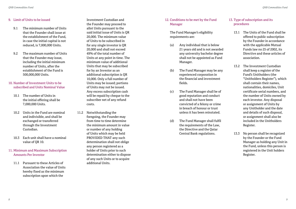### 9. Limit of Units to be issued

- 9.1 The minimum number of Units that the Founder shall issue at the establishment of the Fund, in case the initial capital is not reduced, is 7,000,000 Units.
- 9.2 The maximum number of Units that the Founder may issue, including the initial minimum number of Units, after the establishment of the Fund is 500,000,000 Units.
- 10. Number of Investment Units to be subscribed and Units Nominal Value
	- 10.1 The number of Units in the initial offering shall be 7,000,000 Units.
	- 10.2 Units in the Fund are nominal and indivisible, and shall be exchanged or transferred through the Investment Custodian.
	- 10.3 Each unit shall have a nominal value of QR 10.
- 11. Minimum and Maximum Subscription Amounts Per Investor
	- 11.1 Pursuant to these Articles of Association the value of Units hereby fixed as the minimum subscription upon which the

Investment Custodian and the Founder may proceed to allot Units pursuant to the said initial issue of Units is QR 20,000. The minimum value of Units to be subscribed in for any single investor is QR 20,000 and shall not exceed 49% of the total number of Units at any point in time. The minimum value of additional Units that may be subscribed for by an Investor as an additional subscription is QR 10,000. Only a full number of Units may be issued; portions of Units may not be issued. Any excess subscription cash will be repaid by cheque to the subscriber net of any refund costs.

11.2 Notwithstanding the foregoing, the Founder may from time to time determine the minimum amount in value or number of any holding of Units which may be held PROVIDED THAT any such determination shall not oblige any person registered as a holder of Units prior to such determination either to dispose of any such Units or to acquire additional Units.

# 12. Conditions to be met by the Fund Manager

 The Fund Manager's eligibility requirements are:

- (a) Any individual that is below 21 years old and is not awarded any university bachelor degree shall not be appointed as Fund Manager.
- (b) The Fund Manager may be any experienced corporation in the financial and investment fields.
- (c) The Fund Manager shall be of good reputation and conduct and shall not have been convicted of a felony or crime in breach of honour or trust unless it has been reinstated.
- (d) The Fund Manager shall fulfil the requirements of the Law, the Directive and the Qatar Central Bank regulations.

# 13. Type of subscription and its procedures

- 13.1 The Units of the Fund shall be offered to public subscription by the Founder in accordance with the applicable Mutual Funds law no 25 of 2002, its Directive and these articles of association.
- 13.2 The Investment Custodian shall keep a register of the Fund's Unitholders (the "Unitholders Register"), which shall contain their names, nationalities, domiciles, Unit certificate serial numbers, and the number of Units owned by each investor. Any disposal or assignment of Units by any Unitholder and the date and details of such disposal, or assignment shall also be included in the Unitholders Register.
- 13.3 No person shall be recognized by the Founder or the Fund Manager as holding any Unit in the Fund, unless this person is registered in the Unit holders Register.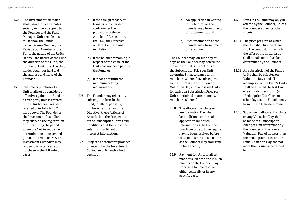- 13.4 The Investment Custodian shall issue Unit certificates serially numbered signed by the Founder and the Fund Manager. Unit certificates must show the Fund's name, License Number, the Registration Number of the Fund, the nature of the Units (if any), the nature of the Fund, the duration of the Fund, the number of Units that the Unit holder bought or held and the address and name of the Founder.
- 13.5 The sale or purchase of a Unit shall not be considered effective against the Fund or a third party unless entered in the Unitholders Register referred to in Article 13.2 here above. The Founder or the Investment Custodian may suspend the registration of Units during the period when the Net Asset Value determination is suspended pursuant to Article 15.6. The Investment Custodian may refuse to register a sale or purchase in the following cases:
- (a) if the sale, purchase, or transfer of ownership, contravenes the provisions of these Articles of Association, the Law, the Directive or Qatar Central Bank regulation;
- (b) if the balance remaining in respect of the value of the Units has not been paid to the Fund; or
- (c) if it does not fulfil the minimum holding requirements.
- 13.6 The Founder may reject any subscription form in the Fund, totally or partially, if it breaches the Law, the Directive, these Articles of Association, the Prospectus or the Subscription Terms and Conditions or if the subscriber submits insufficient or incorrect information.
- 13.7 Subject as hereinafter provided on receipt by the Investment Custodian or its authorized agents of:
- (a) An application in writing in such forms as the Founder may from time to time determine; and
- (b) Such information as the Founder may from time to time require;

 The Founder may, on such day or days as the Founder may determine, make the initial issue of Units at the Subscription Price per Unit determined in accordance with Article 14. 2 hereof or, subsequent to the initial issue of Unit on any Valuation Day allot and issue Units for cash at a Subscription Price per Unit determined in accordance with Article 14. 6 hereof.

- 13.8 The allotment of Units on any Valuation Day shall be conditional on the said application (and such information as the Founder may from time to time require) having been received before close of business or such time as the Founder may from time to time specify.
- 13.9 Payment for Units shall be made at such time and in such manner as the Founder may from time to time resolve either generally or in any specific case.
- 13.10 Units in the Fund may only be offered by the Founder, unless the Founder appoints other agents.
- 13.11 The price per Unit at which the Unit shall first be offered and the period during which the offer of the initial issue shall remain open shall be determined by the Founder.
- 13.12 All subscription of the Fund's Units shall be effected on Valuation Days and all redemption of the Fund's Units shall be effected the last Day of each calendar month (a "Redemption Date") or such other days as the Founder may from time to time determine.
- 13.13 Subsequent allotment of Units on any Valuation Day shall be made at a Subscription Price per Unit determined by the Founder on the relevant Valuation Day of not less than the Redemption Price on the same Valuation Day and not more than a sum ascertained by: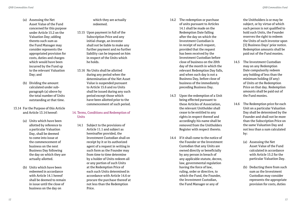- (a) Assessing the Net Asset Value of the Fund concerned for this purpose under Article 15.2 on the Valuation Day; adding thereto such sum as the Fund Manager may consider represents the appropriated provision for costs, duties and charges which would have been incurred by the Fund up to the relevant Valuation Day; and
- (b) Dividing the amount calculated under subparagraph (a) above by the total number of Units outstanding at that time.
- 13.14 For the Purpose of this Article and Article 13.14 hereof:
	- (a) Units which have been allotted by reference to a particular Valuation Day, shall be deemed to come into issue at the commencement of business on the next Business Day following the day on which they are actually allotted.
	- (b) Units which have been redeemed in accordance with Article 14.1 hereof shall be deemed to remain in issue until the close of business on the day on

which they are actually redeemed.

- 13.15 Upon payment in full of the Subscription Price and any initial charge, an investor shall not be liable to make any further payment and no further liability can be imposed on him in respect of the Units which he holds.
- 13.16 No Units shall be allotted during any period when the determination of the Net Asset Value is suspended pursuant to Article 15.6 and no Units shall be issued during any such period except those which have been allotted prior to the commencement of such period.

## 14. Terms, Conditions and Redemption of **Units**

14.1 Subject to the provisions of Article 11.1 and subject as hereinafter provided, the Investment Custodian shall on receipt by it or its authorized agent of a request in writing in such form as the Founder may from time to time determine by a holder of Units redeem all or any portion of such Units at the Redemption Price of each such Units determined in accordance with Article 14.6 or procure the purchase thereof at not less than the Redemption Price.

- 14.2 The redemption or purchase of units pursuant to Articles 14.1 shall be made on the Redemption Date falling after the day on which the Investment Custodian is in receipt of such request, provided that the request has been received by the Investment Custodian before close of business on the 20th day of the month in which the relevant Redemption Day falls, and when such day is not a Business Day, before close of business of the immediately preceding Business Day.
- 14.3 Upon the redemption of a Unit being effected pursuant to these Articles of Association, the relevant Unitholder shall cease to be entitled to any rights in respect thereof and accordingly his name shall be removed from the Unitholders Register with respect thereto.
- 14.4 If it shall come to the notice of the Founder or the Investment Custodian that any Units are owned directly or beneficially by any person in breach of any applicable statute, decree, law, governmental regulation having the force of law, ruling, order or directive, to which the Fund, the Founder, the Investment Custodian, the Fund Manager or any of

the Unitholders is or may be subject, or by virtue of which such person is not qualified to hold such Units, the Founder reserves the right to redeem the Units of such investor upon [5] Business Days' prior notice. Redemption amounts shall be paid out of the Fund monies.

- 14.5 The Investment Custodian may on any Redemption Date compulsorily redeem any holding of less than the minimum holding (if any) of Units at the Redemption Price on that day. Redemption amounts shall be paid out of the Fund monies.
- 14.6 The Redemption price for each Unit on a particular Valuation Day shall be determined by the Founder and shall not be more than the Subscription Price on the same Valuation Day and not less than a sum calculated by:
	- (a) Assessing the Net Asset Value of the Fund calculated in accordance with Article 15.2 for the particular Valuation Day.
	- (b) Deducting there from such sum as the Investment Custodian may consider represents the appropriate provision for costs, duties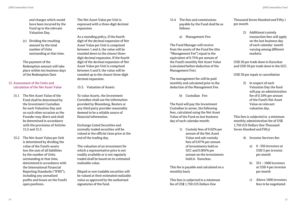and charges which would have been incurred by the Fund up to the relevant Valuation Day.

 (c) Dividing the resulting amount by the total number of Units outstanding at that time.

 The payment of the Redemption amount will take place within ten business days of the Redemption Date

### 15. Assessment of the Units and calculation of the Net Asset Value

- 15.1 The Net Asset Value of the Fund shall be determined by the Investment Custodian for each Valuation Day and on such other occasion as the Founder may direct and shall be determined in accordance with the provisions of Articles 15.2 and 15.3.
- 15.2 The Net Asset Value per Unit is determined by dividing the value of the Fund's assets less the sum of all liabilities by the number of Units outstanding at that time, determined in accordance with the International Financial Reporting Standards ("IFRS"), including any unrealised profits and losses on the Fund's open positions.

 The Net Asset Value per Unit is expressed with a three-digit decimal expansion.

 As a rounding policy, if the fourth digit of the decimal expansion of Net Asset Value per Unit is comprised between 1 and 4, the value will be rounded down to the closest threedigit decimal expansion. If the fourth digit of the decimal expansion of Net Asset Value per Unit is comprised between 5 and 9, the value will be rounded up to the closest three-digit decimal expansion.

15.3. Valuation of Assets

 To value Assets, the Investment Custodian shall use the information provided by Bloomberg, Reuters or any third party provider reasonably deemed to be a reliable source of financial information.

 Exchange Listed Securities and normally traded securities will be valued at the official close price at the end of the trading day.

 The valuation of an investment for which a representative price is not readily available or is not regularly traded shall be based on its estimated realizable value.

 Illiquid or non tradable securities will be valued at their estimated realizable value as approved by the authorized signatories of the fund.

- 15.4 The fees and commissions payable by the Fund shall be as follows:
	- a) Management Fee:

 The Fund Manager will receive from the assets of the Fund fee (the "Management Fee") equal to the equivalent of 0.75% per annum of the Fund's monthly Net Asset Value (calculated before deduction of the Management Fee).

 The management fee will be paid monthly and calculated prior to the deduction of the Management Fee.

b) Custodian Fee:

 The fund will pay the Investment Custodian in arrear, the following fees, calculated using the Net Asset Value of the Fund on last business day of each calendar month:

> 1) Custody fees of 0.02% per annum of the Net Asset Value and sub-custody fees of 0.07% per annum of investments held on GCC and 0.005% per annum on the investments held in Euroclear.

 This fee is payable and calculated on a monthly basis

 This fees is subjected to a minimum fee of US\$ 1,750 (US Dollars One

Thousand Seven Hundred and Fifty ) per month

> 2) Additional custody transaction fees will apply on the last business day of each calendar month varying among different markets:

 USD 20 per trade done in Euroclear and USD 50 per trade done in the GCC.

USD 30 per repair or cancellation

 3) In respect of each Valuation Day the fund will pay an administration fee of 0.10% per annum of the Fund's Net Asset Value on relevant valuation day.

 This fees is subjected to a minimum monthly administration fee of US\$ 1,750 (US Dollars One Thousand Seven Hundred and Fifty)

- 4) Investor Services fee:
	- a) 0 350 investors at USD 5 per investor per month
	- b) 351 1000 investors at USD 4 per investor per month
	- c) Above 1000 investors fees to be negotiated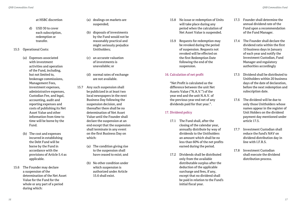#### at HSBC discretion

- d) USD 30 to cover each subscription, redemption or transfer.
- 15.5 Operational Costs:
	- (a) Expenses associated with investment activities and operation of the Fund, including, but not limited to, brokerage commissions, Management Fees, investment expenses, administrative expenses, Custodian Fee, and legal, accounting, audit and reporting expenses and costs of publishing its Net Asset Value and other information from time to time will be borne by the Fund.
	- (b) The cost and expenses incurred in establishing the Debt Fund will be borne by the Fund in accordance with the provisions of Article 5.4 as applicable.
- 15.6 The Founder may declare a suspension of the determination of the Net Asset Value for the Fund for the whole or any part of a period during which:
- (a) dealings on markets are suspended;
- (b) disposals of investments by the Fund would not be reasonably practical and might seriously prejudice Unitholders;
- (c) an accurate valuation of investments is unavailable; or
- (d) normal rates of exchange are not available.
- 15.7 Any such suspension shall be publicized in at least two local newspapers in the next Business Day following the suspension decision, and thereafter there shall be no determination of Net Asset Value until the Founder shall declare the suspension at an end except that the suspension shall terminate in any event on the first Business Day on which:
	- (a) The condition giving rise to the suspension shall have ceased to exist; and
	- (b) No other condition under which suspension is authorized under Article 15.6 shall exist.
- 15.8 No issue or redemption of Units will take place during any period when the calculation of Net Asset Value is suspended.
- 15.9 Requests for redemption may be revoked during the period of suspension. Requests not revoked will be effected on the first Redemption Date following the end of the suspension.

### 16. Calculation of net profit

 "Net Profit is calculated as the difference between the unit Net Assets Value ("N.A.V.") of the year end and the unit N.A.V. of the previous year end net of any dividends paid for that year.".

# 17. Dividend policy

- 17.1 The Fund shall, after the closing of the calendar year, annually distribute by way of dividends to the Unitholders an amount which shall be no less than 60% of the net profits earned during the period.
- 17.2 Dividends shall be distributed only from the available distributable surplus after the deduction of the applicable surcharge and fees, if any, except that no dividend shall be paid in relation to the Fund's initial fiscal year.
- 17.3 Founder shall determine the annual dividend rate of the Fund upon a recommendation of the Fund Manager.
- 17.4 The Founder shall declare the dividend ratio within the first 10 business days in January of each year and notify the Investment Custodian, Fund Manager and regulatory authorities accordingly
- 17.5 Dividend shall be distributed to Unitholders within 20 business days of the date of declaration, before the next redemption and subscription date.
- 17.6 The dividend will be due to only those Unitholders whose names appear in the register of Unit Holders on the dividend payment day mentioned under article 17.5.
- 17.7 Investment Custodian shall reduce the fund's NAV on dividend distribution day in  $line with IFRS$
- 17.8 Investment Custodian shall execute the dividend distribution process.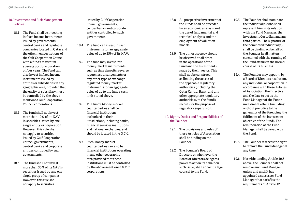# 18. Investment and Risk Management Policies

- 18.1 The Fund shall be investing in fixed income instruments issued by governments, central banks and reputable companies located in Qatar and the other member nations of the Gulf Cooperation Council with a fund's maximum average portfolio duration of four years. The fund can also invest in fixed income instruments issued by entities or subsidiaries in any geographic area, provided that the entity or subsidiary must be controlled by the above mentioned Gulf Cooperation Council corporations.
- 18.2 The fund shall not invest more than 10% of its NAV in securities issued by one single entity or corporation. However, this rule shall not apply to securities issued by Gulf Cooperation Council governments, central banks and corporate entities controlled by such governments.
- 18.3 The fund shall not invest more than 30% of its NAV in securities issued by any one single group of companies. However, this rule shall not apply to securities

issued by Gulf Cooperation Council governments, central banks and corporate entities controlled by such governments.

- 18.4 The fund can invest in cash instruments for an aggregate value of up to 25% of its NAV.
- 18.5 The fund may invest into money-market instruments such as time deposits, reverse repurchase arrangements or any other type of exchangeregulated money-market instruments for an aggregate value of up to the fund's cash limit stated above.
- 18.6 The fund's Money-market counterparties shall be financial institutions authorized in their jurisdictions, including banks, financial services institutions and national exchanges, and should be located in the G.C.C.
- 18.7 Such Money-market counterparties can also be financial institutions operating in any other geographic area provided that these institutions must be controlled by the above-mentioned G.C.C. corporations.
- 18.8 All prospective investment of the Funds shall be preceded by an economic analysis and the use of fundamental and technical analysis and the employment of valuation models.
- 18.9 The utmost secrecy should be observed at all times in the operations of the Fund and the Investments made by the Investor. This shall not be construed as limiting the access of the applicable regulatory authorities (including the Qatar Central Bank, and any other appropriate regulatory authorities), to the Fund's records for the purpose of regulatory supervision.

# 19. Rights, Duties and Responsibilities of the Founder

- 19.1 The provisions and rules of these Articles of Association shall be binding on the Founder.
- 19.2 The Founder's Board of Directors or whomever the Board of Directors delegates power to act on its behalf on such issue, shall appoint a legal counsel to the Fund.
- 19.3 The Founder shall nominate the individual(s) who shall represent him in its relation with the Fund Manager, the Investment Custodian and any third parties. The signature of the nominated individual(s) shall be binding on behalf of the Founder in all matters concerned with the running of the Fund affairs in the normal course of its business.
- 19.4 The Founder may appoint, by a Board of Directors resolution, any individual or corporation in accordance with these Articles of Association, the Directive and the Law to act as the Fund Manager of the Fund's investment affairs (including without prejudice to the generality of the foregoing, the fulfilment of the investment objective of the Fund). The remuneration of the Fund Manager shall be payable by the Fund.
- 19.5 The Founder reserves the right to remove the Fund Manager at any time.
- 19.6 Notwithstanding Article 19.5 above, the Founder shall not remove any Fund Manager unless and until it has appointed a successor Fund Manager that satisfies the requirements of Article 12.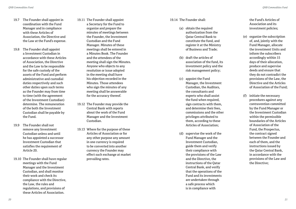- 19.7 The Founder shall appoint in coordination with the Fund Manager and in compliance with these Articles of Association, the Directive and the Law at the Fund's expense.
- 19.8 The Founder shall appoint a Investment Custodian in accordance with these Articles of Association, the Directive and the Law to be responsible for the safe custody of the assets of the Fund and perform administrative and custodial duties respectively and such other duties upon such terms as the Founder may from time to time (with the agreement of the Investment Custodian) determine. The remuneration of the both the Investment Custodian shall be payable by the Fund.
- 19.9 The Founder shall not remove any Investment Custodian unless and until he has appointed a successor Investment Custodian that satisfies the requirement of Article 20.
- 19.10 The Founder shall have regular meetings with the Fund Manager and the Investment Custodian, and shall monitor their work and check its compliance with the Directive, the Law, the rules and regulations, and provisions of these Articles of Association.
- 19.11 The Founder shall appoint a Secretary for the Fund to organize and prepare the minutes of meetings between the Founder, the Investment Custodian and the Fund Manager. Minutes of these meetings shall be entered in a Minutes Book. The Founder and the attendees of the meeting shall sign the Minutes. Anyone who objects to any resolution or issue adopted in the meeting shall have his objection recorded in the Minutes. Those attendees who sign the minutes of any meeting shall be answerable for the accuracy thereof.
- 19.12 The Founder may provide the Central Bank with reports about the work of the Fund Manager and the Investment Custodian.
- 19.13 Where for the purpose of these Articles of Association or for any other purpose any amount in one currency is required to be converted into another currency the Founder may effect such exchange at market prevailing rates.

### 19.14 The Founder shall:

- (a) obtain the required authorization from the Qatar Central Bank to constitute the fund, and register it at the Ministry of Business and Trade;
- (b) draft the articles of association of the fund, its investment policy and the risk management policy;
- (c) appoint the Fund Manager, the Investment Custodian, the Auditors, the consultants and experts who shall assist the fund when required, sign contracts with them, and determine their fees, commissions and the other privileges attributed to them, according to these Articles of Association;
- (d) supervise the work of the Fund Manager and the Investment Custodian, guide them and verify their compliance with the provisions of the Law and the Directive, the instructions of the Qatar Central Bank, and verify that the operations of the Fund and its investments are undertaken through a safe process which is in compliance with

the Fund's Articles of Association and its investment policies;

- (e) organize the subscription of, and, jointly with the Fund Manager, allocate the investment Units and inform the subscribers accordingly within 15 days of their allocation, produce and supervise deeds and ensure that they do not contradict the provisions of the Law, the Directive and the Articles of Association of the Fund;
- (f) initiate the necessary procedures against any contravention committed by the Fund Manager or the Investment Custodian within the permissible boundaries of the Articles of Association of the Fund, the Prospectus, the contract signed between the Founder and each of them, and the instructions issued by the Qatar Central Bank, in accordance with the provisions of the Law and the Directive;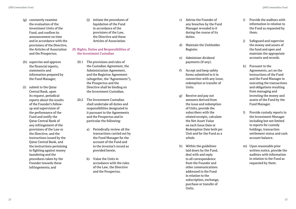- (g) constantly examine the evaluation of the investment Units of the Fund, and confirm its announcement on time and in accordance with the provisions of the Directive, the Articles of Association and the Prospectus;
- (h) supervise and approve the financial reports, statements and information prepared by the Fund Manager;
- (i) submit to the Qatar Central Bank, upon its request, periodical reports about the results of the Founder's followup and supervision of the performance of the Fund and notify the Qatar Central Bank of any infringement of the provisions of the Law or the Directive, and the instructions issued by the Qatar Central Bank, and the instructions pertaining to fighting against money laundering and the procedures taken by the Founder towards these infringements; and
- (j) initiate the procedures of liquidation of the Fund in accordance of the provisions of the Law, the Directive and these Articles of Association.
- 20. Rights, Duties and Responsibilities of the Investment Custodian
	- 20.1 The provisions and rules of the Custodian Agreement, the Administration Agreement, and the Registrar Agreement (altogether, the "Agreements"), the Prospectus and the Directive shall be binding on the Investment Custodian.
	- 20.2 The Investment Custodian shall undertake all duties and responsibilities designated to it pursuant to the Agreements and the Prospectus and in particular the following:
		- a) Periodically review all the transactions carried out by the Fund Manager for the account of the Fund and to the investor's record as provided herein.
		- b) Value the Units in accordance with the rules of the Law, the Directive and the Prospectus.
- c) Advise the Founder of any breaches by the Fund Manager revealed to it during the course of its duties.
- d) Maintain the Unitholder Register.
- e) Administer dividend payments (if any).
- f) Accept and keep safely forms submitted to it in connection with any issue, redemption or transfer of **Units**
- g) Receive and pay out amounts derived from the issue and redemption of Units, provide the subscribers with the related receipts, calculate the Net Asset Value on each Issue Date or Redemption Date both per Unit and for the Fund as a whole.
- h) Within the guidelines laid down by the Fund, deal with and reply to all correspondence from the Founder and other communications addressed to the Fund in relation to the subscription, exchange, purchase or transfer of Units.
- i) Provide the auditors with information in relation to the Fund as requested by them.
- j) Safeguard and supervise the money and assets of the fund and open and maintain the appropriate accounts and records.
- k) Pursuant to the Agreements, act on the instructions of the Fund and the Fund Manager in executing the transactions and obligations resulting from managing and investing the money and assets of the Fund by the Fund Manager.
- l) Provide custody reports to the Investment Manager including but not limited to reports for custody holdings, transaction settlement status and cash account balance.
- m) Upon reasonable prior written notice, provide the auditors with information in relation to the Fund as requested by them.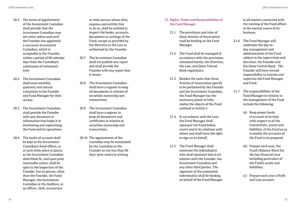- 20.3 The terms of appointment of the Investment Custodian shall provide that the Investment Custodian may not retire unless and until the Founder has appointed a successor Investment Custodian, which is acceptable to the Founder, within a period of 90 calendar days from the Custodian's submission of retirement note.
- 20.4 The Investment Custodian shall issue monthly, quarterly and annual valuations to the Founder and Fund Manager for their review.
- 20.5 The Investment Custodian shall provide the Founder with any document or information that helps it in monitoring and supervising the Fund and its operations.
- 20.6 The books of account shall be kept at the Investment Custodian's head offices, or at such other place or places as the Investment Custodian shall think fit, and upon prior reasonable notice, shall be open to the inspection of the Founder, but no person, other than the Founder, the Fund Manager, the Investment Custodian or the Auditors, or an officer, clerk, accountant

or other person whose duty requires and entitles him to do so, shall be entitled to inspect the books, accounts, documents or writings of the Fund, except as provided by the Directive or the Law or authorized by the Founder.

- 20.7 The Investment Custodian shall not publish any report and shall provide the Founder with any report that it issues.
- 20.8 The Investment Custodian shall have a register to keep all documents in relation of securities ownership and transactions.
- 20.9 The Investment Custodian shall have a register to keep all documents and certificates in relation to securities ownership and transactions.
- 20.10 The appointment of the Custodian may be terminated by the Custodian or the Founder on not less than 90 days' prior notice in writing.

## 21. Rights, Duties and Responsibilities of the Fund Manager

- 21.1 The provisions and rules of these Articles of Association shall be binding on the Fund Manager.
- 21.2 The Fund shall be managed in accordance with the provisions contained herein, the Directive, the Law, and Qatar Central Bank regulations.
- 21.3 Besides the tasks that these Articles of Association specify to be performed by the Founder and the Investment Custodian, the Fund Manager has the necessary power to fully realize the objects of the Fund outlined in Article 5.
- 21.4 In accordance with the Law, the Fund Manager shall represent the Fund before courts and in its relations with others and shall have the right to sign on its behalf.
- 21.5 The Fund Manager shall nominate the individual(s) who shall represent him in its relation with the Founder, the Investment Custodian and any other third parties. The signature of the nominated individual(s) shall be binding on behalf of the Fund Manager

in all matters concerned with the running of the Fund affairs in the normal course of its business.

- 21.6 The Fund Manager will undertake the day-today management and administration of the Fund subject to the supervision and direction, the Founder and the Qatar Central Bank. The Founder will have overall responsibility to oversee and supervise the Fund Manager and Fund.
- 21.7 The responsibilities of the Fund Manager in relation to the management of the Fund include the following:
	- (a) Keep proper books of account to be kept with respect to all the transactions, assets and liabilities of the Fund so as to enable the accounts of the Fund to be prepared.
	- (b) Prepare each year, the Fund's Balance Sheet for the last financial year including particulars of the Fund's assets and liabilities.
	- (c) Prepare each year a Profit and Loss account.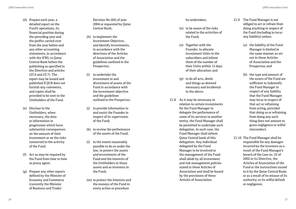- (d) Prepare each year, a detailed report on the Fund's operations, its financial position during the preceding year and the profits carried over from the year before and any other accounting statements, in accordance with the IFRS, to Qatar Central Bank before the publishing as specified in the Directive and articles (23.6 and 23.7). The report may be issued and published if QCB does not furnish any comments, and copies shall be provided to be sent to the Unitholders of the Fund.
- (e) Disclose to the Unitholders, when necessary, the data or information or progression which have substantial consequences on the amount of their investment or on the risks connected to the activity of the Fund.
- (f) Act as may be required by the Fund from time to time as proxy agent.
- (g) Prepare any other reports defined by the Minister of Economy and Commerce (currently the Minister of Business and Trade)

Decision No (69) of year 2004 or requested by Qatar Central Bank;

- (h) to implement the Investment Objective, and identify Investments, in accordance with the directions of the Articles of Association and the guidelines outlined in the Prospectus;
- (i) to undertake the investment in and divestment of assets of the Fund in accordance with the investment objective and the guidelines outlined in the Prospectus.
- (j) to provide information to and assist the Founder in respect of its supervision of the Fund;
- (k) to review the performance of the assets of the Fund;
- (l) to the extent reasonably possible to do so under the law, to protect the assets and investments of the Fund and the interests of the Unitholders in those assets and as investors in the Fund;
- (m) to protect the interests and the moneys of the Fund in every action or procedure

## he undertakes;

- (n) to be aware of the risks related to the activities of the Fund;
- (o) Together with the Founder, to allocate investment Units to the subscribers and inform them of the number of their Units within 15 days of their allocation; and
- (p) to do all acts, deeds and things as deemed necessary and incidental to the above.
- 21.8 As it may be necessary in relation to certain investments for the Fund Manager to delegate the performance of some of its services to another entity, the Fund Manager shall be permitted to undertake such delegation. In such case, the Fund Manager shall inform Qatar Central bank of this delegation. Any individual delegated by the Fund Manager to be involved in the management of the Fund shall abide by all investment and risk management policies stated in these Articles of Association and shall be bound by the provisions of these Articles of Association.
- 21.9 The Fund Manager is not obliged to act or refrain from doing anything in respect of the Fund (including to incur any liability) unless:
	- (a) the liability of the Fund Manager is limited in the same manner as set out in these Articles of Association and the Prospectus; and
	- (b) the type and amount of the assets of the Fund are sufficient to indemnify the Fund Manager in respect of any liability that the Fund Manager may incur in respect of that act or refraining from acting, provided that doing so or refraining from doing any such thing does not amount to gross negligence or wilful misconduct.
- 21.10 The Fund Manager shall be responsible for any damages incurred by the investors as a result of the Fund Manager's breach of the Law no. 25 of 2002 or its Directive, the Articles of Association of the Fund or the instructions issued to it by the Qatar Central Bank; or as a result of its misuse of its authority; or its wilful default or negligence.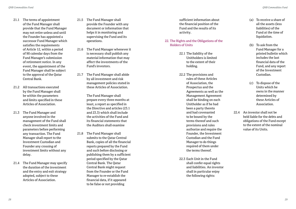- 21.1 The terms of appointment of the Fund Manager shall provide that the Fund Manager may not retire unless and until the Founder has appointed a successor Fund Manager which satisfies the requirements of Article 12, within a period of 90 calendar days from the Fund Manager's submission of retirement notice. In any event, the appointment of the Fund Manager shall be subject to the approval of the Qatar Central Bank.
- 21.2 All transactions executed by the Fund Manager shall be within the parameters and limits specified in these Articles of Association.
- 21.3 The Fund Manager and anyone involved in the management of the Fund shall check investment limits and parameters before performing any transaction. The Fund Manager shall report to the Investment Custodian and Founder any crossing of investment limits without any delay.
- 21.4 The Fund Manager may specify the duration of the investment and the entry and exit strategy adopted, subject to these Articles of Association.
- 21.5 The Fund Manager shall provide the Founder with any document or information that helps it in monitoring and supervising the Fund and its operations.
- 21.6 The Fund Manager whenever it is necessary shall publish any material information that may affect the investments of the Fund's investors.
- 21.7 The Fund Manager shall abide by all investment and risk management policies stated in these Articles of Association.

 The Fund Manager shall prepare every three months at least, a report as specified in the Directive and articles (23.1 and 23.3) which shall include the activities of the Fund and its financial statements that the Auditors shall examine

21.8 The Fund Manager shall submits to the Qatar Central Bank, copies of all the financial reports prepared by the Fund and such before disclosing or publishing them by a sufficient period specified by the Qatar Central Bank. The Qatar Central Bank might request from the Founder or the Fund Manager to re-establish the financial data, if it appeared to be false or not providing

sufficient information about the financial position of the Fund and the results of its activity.

22. The Rights and the Obligations of the Holders of Units

> 22.1 The liability of the Unitholders is limited to the extent of their holding.

 22.2 The provisions and rules of these Articles of Association, the Prospectus and the Agreements as well as the Management Agreement shall be binding on each Unitholder as if he had been a party thereto and had covenanted to be bound by the terms thereof and such provisions and rules authorize and require the Founder, the Investment Custodian and the Fund Manager to do things required of them under the terms thereof.

 22.3 Each Unit in the Fund shall confer equal rights and liabilities. An investor shall in particular enjoy the following rights:

- (a) To receive a share of all the assets (less liabilities) of the Fund at the time of liquidation.
- (b) To ask from the Fund Manager for a printed bulletin which includes the last financial data of the Fund, and any report of the Investment Custodian.
- (c) To dispose of the Units which he owns in the manner determined by these Articles of Association.
- 22.4 An investor shall not be held liable for the debts and obligations of the Fund except to the extent of the nominal value of its Units.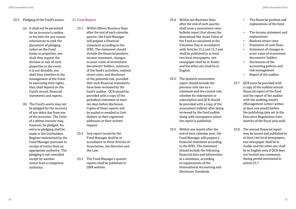## 22.5 Pledging of the Fund's assets:

- (a) It shall not be permitted for an investor's creditor or his heirs for any reason whatsoever to seek the placement of pledging orders on the Fund books or properties, nor shall they request the division or sale of such properties in the event it is not divisible, nor shall they interfere in the management of the Fund. In exercising their rights, they shall depend on the Fund's record, financial statements and reports.
- (b) The Fund's assets may not be pledged for the recovery of any debts due from one of the investors. The Units of a debtor investor may, however, be pledged. An entry to pledging shall be made in the Unitholders Register maintained by the Fund Manager pursuant to receipt of notice from an appropriate authority. The pledging is not cancelled except by another notice from a competent authority.

# 23. Fund Reports

- 23.1 Within fifteen Business Days after the end of each calendar quarter, the Fund Manager will prepare a financial statement according to the IFRS. The statement should include the financial position, income statement, changes in asset value of investment documents' holders, summary of the fund's activities, realized return rates, and disclosure of the potential risk, provided that such financial statements have been reviewed by the fund's auditor. QCB should be provided with a copy of the periodical statement at least ten days before disclosure. Copies of these reports will be mailed or emailed to Unit Holders at their registered addresses at their written request.
- 23.2 Any report issued by the Fund Manager shall be in accordance to these Articles of Association, the Directive and the Law.
- 23.3 The Fund Manager's quarter reports shall be published in ONB website.
- 23.4 Within ten Business Days after the end of each quarter, shall issue a assessment rates bulletin report that shows the determined Net Asset Value of the Fund as calculated at the Valuation Day in accordance with Articles 15.2 and 15.3 and shall be published in at least two local newspapers, one newspaper shall be in Arabic and the other one shall be in English.
- 23.5 The quaterly assessment report should include the previous unit rate as a minimum and the current rate whether for redemption or subscription and QCB should be provided with a copy of the assessment bulletin after being reviewed by the fund auditor along with newspapers where the report is published.
- 23.6 Within one month after the end of each calendar year, the Fund Manager will prepare a financial statement according to the IFRS. The statement should include the following financial data and information at a minimum, according to requirements of the International Accounting and Disclosure Standards:
- The financial position and explanations of the fund
- The income statement and explanations
- Realized return rates
- Statement of cash flows
- Statement of changes in asset value of investment documents' holders
- Disclosures of the accounting policies and risk management
- Report of the auditor.
- 23.7 QCB must be provided with a copy of the audited annual financial report of the fund and the report of the auditor with the auditing results (Management Letter) within at least one month before the publishing date set in the Executive Regulations (two months of the fiscal year end).
- 23.8 The annual financial report may be issued and published in at least two local newspapers, one newspaper shall be in Arabic and the other one shall be in English only if QCB does not furnish any comments during period mentioned in article 23.7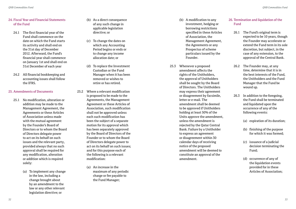## 24. Fiscal Year and Financial Statements of the Fund

- 24.1 The first financial year of the Fund shall commence on the date on which the Fund starts its activity and shall end on the 31st day of December 2012. Afterward, the Fund's financial year shall commence on January 1st and shall end on 31st December of each year
- 24.2 All financial bookkeeping and accounting issues shall follow the IFRS.

### 25. Amendments of Documents

- 25.1 No modification, alteration or addition may be made to the Management Agreement, the Agreements or these Articles of Association unless made with the mutual agreement by the Founder's Board of Directors or to whom the Board of Directors delegate power to act on its behalf on such issues and the relevant party, provided always that no such approval shall be required for any modification, alteration or addition which is required solely:
	- (a) To implement any change in the law, including a change brought about by an amendment to the law or any other relevant legislation directive; or
- (b) As a direct consequence of any such change in applicable legislation directive; or
- (c) To change the dates on which any Accounting Period begins or ends or to change any income allocation date; or
- (d) To replace the Investment Custodian or the Fund Manager when it has been removed or wishes to retire or has retired.
- 25.2 Where a relevant modification is proposed to be made to the Agreements, the Management Agreement or these Articles of Association, such modification shall not be approved unless each such modification has been the subject of a separate motion for its approval which has been separately approved by the Board of Directors of the Founder or to whom the Board of Directors delegate power to act on its behalf on such issues; and for this purpose each of the following is a relevant modification:
	- (a) An increase in the maximum of any periodic charge or fee payable to the Fund Manager;
- (b) A modification to any investment, hedging or borrowing restrictions specified in these Articles of Association, the Management Agreement, the Agreements or any Prospectus of scheme particulars issued by the Founder.
- 25.3 Whenever a proposed amendment affects the rights of the Unitholders, the approval of Unitholders shall be sought by the Board of Directors. The Unitholders may express their agreement or disagreement by facsimile, letter or e-mail. The amendment shall be deemed to be approved if Unitholders holding at least 50% of the Units approve the amendment, unless the amendment is rejected by the Qatar Central Bank. Failure by a Unitholder to express an agreement or disagreement within 30 calendar days of receiving notice of the proposed amendment will be deemed to constitute an approval of the amendment.

# 26. Termination and liquidation of the Fund

- 26.1 The Fund's original term is expected to be 10 years, though the Founder may accelerate or extend the Fund term in its sole discretion, but subject, in the case of any extension, to the approval of the Central Bank.
- 26.2 The Founder may, at any time, determine that it is in the best interests of the Fund, the Unitholders and the Fund Manager that the Fund be wound up.
- 26.3 In addition to the foregoing, the Fund shall be terminated and liquidated upon the occurrence of any of the following events:
	- (a) expiration of its duration;
	- (b) finishing of the purpose for which it was formed;
	- (c) issuance of a judicial decision terminating the Fund;
	- (d) occurrence of any of the liquidation events provided for in these Articles of Association;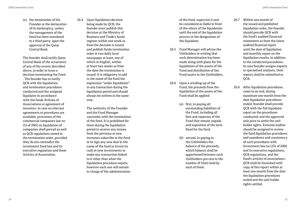(e) the termination of the Founder or the declaration of its bankruptcy, unless the management of the fund has been mandated to a third party, upon the approval of the Qatar Central Bank.

 The founder shall notify Qatar Central Bank of the occurrence of any of the events described above, in order to issue a decision terminating the Fund . The founder has to notify QCB with the liquidation and termination procedures conducted and the assigned liquidator in accordance with the funds Articles of Associations or agreement of investors. In case no relevant agreements or procedures are available, provisions of the commercial companies law no (5) of 2002 on liquidation of companies shall prevail as well as QCB regulations stated in the termination order, provided they do nto contradict the investment fund law and its executive regulation and these Articles of Association.

26.4 Upon liquidation decision being made by QCB, the founder must publish this decision at the Ministry of Business and Trade's funds register within one week as from the decision is issued and publish funds termination order in two daily local newspaper at least, one of which in English, within at least two weeks as from the date the termination is issued. It is obligatory to add to the name of the fund the expression "under liquidation" in any transaction during the liquidation period and should always be written in the same way.

> The authority of the Founder and the Fund Manager concludes with the termination of the fund. It is prohibited for them during the liquidation period to receive any money from the previous or new investors subscribe to the fund or to sign any new deal in the name of the fund or invest its cash in new investments or make any transaction linked to it other than what the liquidation procedure require, however each one will remain in charge of the administration

of the fund, supervise it and be considered as liable in front of the others of the liquidation until the end of the liquidation process or the designation of the liquidator.

- 26.5 Fund Manager will advise the Unitholders in writing that such determination has been made along with plans for the liquidation of the assets of the Fund and distribution of the Fund assets to the Unitholders.
- 26.6 Upon a winding-up of the Fund, the proceeds from the liquidation of the assets of the Fund shall be applied:
	- (a) first, in paying all outstanding liabilities of the Fund, including all fees and expenses of the Fund that remain unpaid; and expiration of the term fixed for the fund.
	- (b) second, in paying to the Unitholders the balance of the proceeds, which balance shall be apportioned between such Unitholders pro rata to the number of Units held by each of them.
- 26.7 Within one month of the issued and published liquidation order, the founder should provide QCB with the fund's audited financial statements as from the latest audited financial report until the date of liquidation and monthly report on the liquidation results, in addition to the conducted procedures. In case founder assigns experts or specialized analysts, their reports shall be submitted to QCB.
- 26.8 After liquidation procedures come to an end, during maximum one month from the date liquidation procedures ended, founder shall provide QCB with the full liquidator report on the procedures conducted, and the approved unit price to settle the unit holder rights. External auditor should be assigned to review the fund liquidation procedures and soundness and consistency of such procedures with Investment law no (25) of 2002 and its executive regulations, QCB regulations, and the fund's articles of associations. QCB shall be furnished with copy of this report within at least one month from the date the liquidation procedures ended and the unit holder rights settled.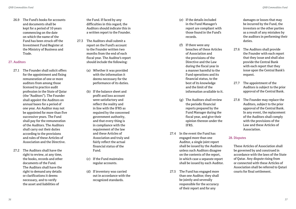26.9 The Fund's books for accounts and documents shall be kept for a period of 10 years commencing on the date on which the name of the Fund has been struck off the Investment Fund Register at the Ministry of Business and Trade.

#### 27. Auditors

- 27.1 The Founder shall solicit offers for the appointment and fixing remuneration of one or more auditors from among those licensed to practice audit profession in the State of Qatar (the "Auditors"). The Founder shall appoint the Auditors on annual bases for a period of one year. An Auditor may not be appointed for more than five successive years. The Fund shall pay for the remuneration of the Auditors. The Auditors shall carry out their duties according to the provisions and rules of these Articles of Association and the Directive.
- 27.2 The Auditors shall have the right to review, at any time, the books, records and other documents of the Fund. The Auditors shall have the right to demand any details or clarifications it deems necessary, and to verify the asset and liabilities of

the Fund. If faced by any difficulties in this regard, the Auditors should indicate this in a written report to the Founder.

- 27.3 The Auditors shall submit a report on the Fund's account to the Founder written two months from the end of each fiscal year. The Auditor's report should include the following:
	- (a) Whether it was provided with the information it deems necessary for the performance of its duties.
	- (b) If the balance sheet and profit and loss account were satisfactory and reflect the reality and in line with the IFRS as required by the concerned government authority, and that every thing is in compliance with the requirement of the law and these Articles of Association and truly and fairly reflect the actual financial status of the Fund.
	- (c) If the Fund maintains regular accounts.
	- (d) If inventory was carried out in accordance with the recognized standards.
- (e) If the details included in the Fund Manager's report are compliant with those found in the Fund's records.
- (f) If there were any breaches of these Articles of Association and the provisions of the Directive and the Law during the fiscal year in a manner harmful to the Fund operations and its financial status, to the best of its knowledge and the limit of the information available to it.
- (g) The Auditors shall review the periodic financial reports prepared by the Fund Manager during the fiscal year, and give their opinion thereon under the IFRS.
- 27.4 In the event the Fund has engaged more than one Auditor, a single joint report shall be issued by the Auditors unless such Auditors disagree on the contents of the report, in which case a separate report shall be issued by each Auditor.
- 27.5 The Fund has engaged more than one Auditor; they shall be jointly and severally responsible for the accuracy of their report and for any

damages or losses that may be incurred by the Fund, the investors or the other parties as a result of any mistakes by the auditors in performing their duties.

- 27.6 The Auditors shall provide the Founder with each report that they issue and shall also provide the Central Bank with each report that they issue upon the Central Bank's request.
- 27.7 The appointment of the Auditors is subject to the prior approval of the Central Bank.
- 27.8 The Founder may replace the Auditors, subject to the prior approval of the Central Bank. In any event, the replacement of the Auditors shall comply with the provisions of the Law and these Articles of Association.

#### 28. Disputes

 These Articles of Association shall be governed by and construed in accordance with the laws of the State of Qatar. Any dispute rising from or connected with these Articles of Association shall be referred to Qatari courts for final settlement.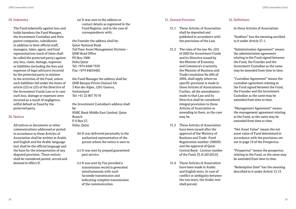### 29. Indemnity

 The Fund indemnify against loss and holds harmless the Fund Manager, the Investment Custodian and their parent companies, subsidiaries in addition to their official staff, managers, labor, agent, and fund representatives (each of them shall be called the protected party) against any loss, claim, damage, expenses or liabilities (including the fees and expenses of legal advisors) incurred by the protected party in relation to the activities of the Fund, unless such liabilities fall under the items of article (22) or (25) of the Directive of the Investment Funds Law or in case such loss, damage or expenses were incurred as a result of negligence, wilful default or fraud by the protected party.

#### 30. Notices

 All notices or documents or other communications addressed or posted in accordance to these Articles of Association shall be written in Arabic and English and the Arabic language text shall be the official language and the base for the interpretation of any disputed provision. These notices shall be considered posted, served and deemed in effect if:

(a) It was sent to the address or contact details as registered in the Fund Register, and in the case of correspondence with:

the Founder the address shall be: Qatar National Bank 3rd Floor Asset Management Division – QNB Head Office PO Box 1000 Doha Qatar Tel: +974 4440 7339 Fax: +974 44634402

the Fund Manager the address shall be: QNB Banque Privee (Suisse) SA 3 Rue des Alpes, 1201 Geneva, Switzerland Tel: +41 22 907 70 70

the Investment Custodian's address shall be: HSBC Bank Middle East Limited, Qatar Branch P O Box 57, Doha, Qatar

- (b) It was delivered personally to the authorized representative of the person whom the notice is sent to.
- (c) It was sent by prepaid guaranteed post service.
- (c) It was sent by Fax provided a transmission record is generated simultaneously with such facsimile transmission and indicating complete transmission of the communication.

### 31. General Provision

- 31.1 These Articles of Association shall be deposited and published in accordance with the provisions of the Law.
- 31.2 The rules of the law No. (25) of 2002 for Investment Funds and its Directive issued by the Minister of Economy and Commerce's (currently the Minister of Business and Trade) resolution No (69) of 2004, shall apply where no specific provision is made in these Articles of Associations. Further, all the amendments made to that Law and its Directive shall be considered integral provisions to these Articles of Association or amending to them, as the case may be.
- 31.3 These Articles of Association have been issued after the approval of the Ministry of Business and Trade -Fund Registration number: (58029) and the approval of Qatar Central Bank - License number of the Fund: [S.A\20\2012].
- 31.4 These Articles of Association have been made in Arabic and English texts. In case of conflict or ambiguity between the two texts, the Arabic text shall prevail.

#### 32. Definitions

In these Articles of Association:

 "Auditors" has the meaning ascribed to it under Article 27.1.

 "Administration Agreement" means the administration agreement relating to the Fund signed between the Fund, the Founder and the Investment Custodian as the same may be amended from time to time.

 "Custodian Agreement" means the custodian agreement relating to the Fund signed between the Fund, the Founder and the Investment Custodian as the same may be amended from time to time.

 "Management Agreement" means the management agreement relating to the Fund, as the same may be amended from time to time.

 "Net Asset Value" means the net asset value of Fund determined in accordance with the provisions set out in page 19 of the Prospectus.

 "Prospectus" means the prospectus relating to the Fund, as the same may be amended from time to time.

 "Redemption Date" has the meaning described to it under Article 13.13.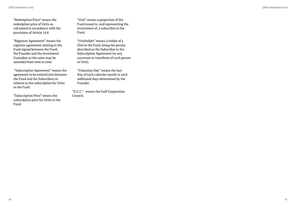"Redemption Price" means the redemption price of Units as calculated in accordance with the provisions of Article 14.6

 "Registrar Agreement" means the registrar agreement relating to the Fund signed between the Fund, the Founder and the Investment Custodian as the same may be amended from time to time.

 "Subscription Agreement" means the agreement to be entered into between the Fund and the Subscribers in relation to the subscription for Units in the Fund.

 "Subscription Price" means the subscription price for Units in the Fund.

 "Unit" means a proportion of the Fund issued to, and representing the investment of, a subscriber in the Fund.

 "Unitholder" means a holder of a Unit in the Fund, being the person described as the Subscriber in the Subscription Agreement (or any successor or transferee of such person or Unit).

 "Valuation Day" means the last Day of each calendar month or such additional days determined by the Founder.

"G.C.C." means the Gulf Cooperation Council.